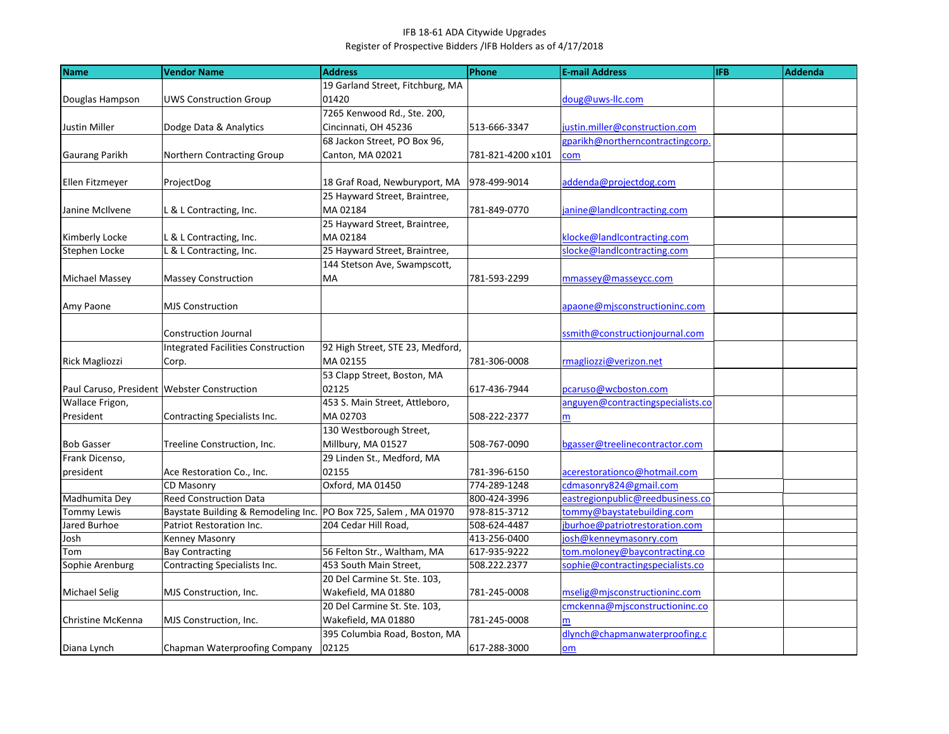## IFB 18-61 ADA Citywide Upgrades Register of Prospective Bidders /IFB Holders as of 4/17/2018

| Name                                          | <b>Vendor Name</b>                        | <b>Address</b>                   | Phone             | <b>E-mail Address</b>             | <b>IFB</b> | Addenda |
|-----------------------------------------------|-------------------------------------------|----------------------------------|-------------------|-----------------------------------|------------|---------|
|                                               |                                           | 19 Garland Street, Fitchburg, MA |                   |                                   |            |         |
| Douglas Hampson                               | <b>UWS Construction Group</b>             | 01420                            |                   | doug@uws-Ilc.com                  |            |         |
|                                               |                                           | 7265 Kenwood Rd., Ste. 200,      |                   |                                   |            |         |
| Justin Miller                                 | Dodge Data & Analytics                    | Cincinnati, OH 45236             | 513-666-3347      | justin.miller@construction.com    |            |         |
|                                               |                                           | 68 Jackon Street, PO Box 96,     |                   | gparikh@northerncontractingcorp.  |            |         |
| <b>Gaurang Parikh</b>                         | Northern Contracting Group                | Canton, MA 02021                 | 781-821-4200 x101 | com                               |            |         |
|                                               |                                           |                                  |                   |                                   |            |         |
| Ellen Fitzmeyer                               | ProjectDog                                | 18 Graf Road, Newburyport, MA    | 978-499-9014      | addenda@projectdog.com            |            |         |
|                                               |                                           | 25 Hayward Street, Braintree,    |                   |                                   |            |         |
| Janine McIlvene                               | L & L Contracting, Inc.                   | MA 02184                         | 781-849-0770      | janine@landlcontracting.com       |            |         |
|                                               |                                           | 25 Hayward Street, Braintree,    |                   |                                   |            |         |
| Kimberly Locke                                | L & L Contracting, Inc.                   | MA 02184                         |                   | klocke@landlcontracting.com       |            |         |
| Stephen Locke                                 | L & L Contracting, Inc.                   | 25 Hayward Street, Braintree,    |                   | slocke@landlcontracting.com       |            |         |
|                                               |                                           | 144 Stetson Ave, Swampscott,     |                   |                                   |            |         |
| Michael Massey                                | <b>Massey Construction</b>                | MA                               | 781-593-2299      | mmassey@masseycc.com              |            |         |
|                                               |                                           |                                  |                   |                                   |            |         |
| Amy Paone                                     | <b>MJS Construction</b>                   |                                  |                   | apaone@mjsconstructioninc.com     |            |         |
|                                               |                                           |                                  |                   |                                   |            |         |
|                                               | <b>Construction Journal</b>               |                                  |                   | ssmith@constructionjournal.com    |            |         |
|                                               | <b>Integrated Facilities Construction</b> | 92 High Street, STE 23, Medford, |                   |                                   |            |         |
| <b>Rick Magliozzi</b>                         | Corp.                                     | MA 02155                         | 781-306-0008      | rmagliozzi@verizon.net            |            |         |
|                                               |                                           | 53 Clapp Street, Boston, MA      |                   |                                   |            |         |
| Paul Caruso, President   Webster Construction |                                           | 02125                            | 617-436-7944      | pcaruso@wcboston.com              |            |         |
| Wallace Frigon,                               |                                           | 453 S. Main Street, Attleboro,   |                   | anguyen@contractingspecialists.co |            |         |
| President                                     | Contracting Specialists Inc.              | MA 02703                         | 508-222-2377      | m                                 |            |         |
|                                               |                                           | 130 Westborough Street,          |                   |                                   |            |         |
| <b>Bob Gasser</b>                             | Treeline Construction, Inc.               | Millbury, MA 01527               | 508-767-0090      | bgasser@treelinecontractor.com    |            |         |
| Frank Dicenso,                                |                                           | 29 Linden St., Medford, MA       |                   |                                   |            |         |
| president                                     | Ace Restoration Co., Inc.                 | 02155                            | 781-396-6150      | acerestorationco@hotmail.com      |            |         |
|                                               | CD Masonry                                | Oxford, MA 01450                 | 774-289-1248      | cdmasonry824@gmail.com            |            |         |
| Madhumita Dey                                 | <b>Reed Construction Data</b>             |                                  | 800-424-3996      | eastregionpublic@reedbusiness.co  |            |         |
| <b>Tommy Lewis</b>                            | Baystate Building & Remodeling Inc.       | PO Box 725, Salem, MA 01970      | 978-815-3712      | tommy@baystatebuilding.com        |            |         |
| Jared Burhoe                                  | Patriot Restoration Inc.                  | 204 Cedar Hill Road,             | 508-624-4487      | jburhoe@patriotrestoration.com    |            |         |
| Josh                                          | Kenney Masonry                            |                                  | 413-256-0400      | josh@kenneymasonry.com            |            |         |
| Tom                                           | <b>Bay Contracting</b>                    | 56 Felton Str., Waltham, MA      | 617-935-9222      | tom.moloney@baycontracting.co     |            |         |
| Sophie Arenburg                               | Contracting Specialists Inc.              | 453 South Main Street,           | 508.222.2377      | sophie@contractingspecialists.co  |            |         |
|                                               |                                           | 20 Del Carmine St. Ste. 103,     |                   |                                   |            |         |
| <b>Michael Selig</b>                          | MJS Construction, Inc.                    | Wakefield, MA 01880              | 781-245-0008      | mselig@mjsconstructioninc.com     |            |         |
|                                               |                                           | 20 Del Carmine St. Ste. 103,     |                   | cmckenna@mjsconstructioninc.co    |            |         |
| Christine McKenna                             | MJS Construction, Inc.                    | Wakefield, MA 01880              | 781-245-0008      | m                                 |            |         |
|                                               |                                           | 395 Columbia Road, Boston, MA    |                   | dlynch@chapmanwaterproofing.c     |            |         |
| Diana Lynch                                   | Chapman Waterproofing Company             | 02125                            | 617-288-3000      | $om$                              |            |         |